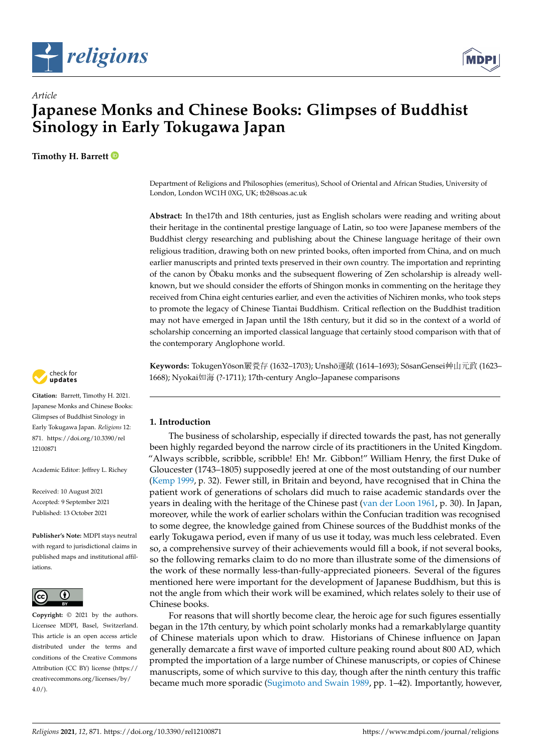



# **Japanese Monks and Chinese Books: Glimpses of Buddhist Sinology in Early Tokugawa Japan**

**Timothy H. Barrett**

*Article*

Department of Religions and Philosophies (emeritus), School of Oriental and African Studies, University of London, London WC1H 0XG, UK; tb2@soas.ac.uk

**Abstract:** In the17th and 18th centuries, just as English scholars were reading and writing about their heritage in the continental prestige language of Latin, so too were Japanese members of the Buddhist clergy researching and publishing about the Chinese language heritage of their own religious tradition, drawing both on new printed books, often imported from China, and on much earlier manuscripts and printed texts preserved in their own country. The importation and reprinting of the canon by Obaku monks and the subsequent flowering of Zen scholarship is already well- ¯ known, but we should consider the efforts of Shingon monks in commenting on the heritage they received from China eight centuries earlier, and even the activities of Nichiren monks, who took steps to promote the legacy of Chinese Tiantai Buddhism. Critical reflection on the Buddhist tradition may not have emerged in Japan until the 18th century, but it did so in the context of a world of scholarship concerning an imported classical language that certainly stood comparison with that of the contemporary Anglophone world.

Keywords: TokugenYōson嚴養存 (1632–1703); Unshō運敞 (1614–1693); SōsanGensei艸山元政 (1623– 1668); Nyokai如海 (?-1711); 17th-century Anglo–Japanese comparisons



**Citation:** Barrett, Timothy H. 2021. Japanese Monks and Chinese Books: Glimpses of Buddhist Sinology in Early Tokugawa Japan. *Religions* 12: 871. [https://doi.org/10.3390/rel](https://doi.org/10.3390/rel12100871) [12100871](https://doi.org/10.3390/rel12100871)

Academic Editor: Jeffrey L. Richey

Received: 10 August 2021 Accepted: 9 September 2021 Published: 13 October 2021

**Publisher's Note:** MDPI stays neutral with regard to jurisdictional claims in published maps and institutional affiliations.



**Copyright:** © 2021 by the authors. Licensee MDPI, Basel, Switzerland. This article is an open access article distributed under the terms and conditions of the Creative Commons Attribution (CC BY) license (https:/[/](https://creativecommons.org/licenses/by/4.0/) [creativecommons.org/licenses/by/](https://creativecommons.org/licenses/by/4.0/)  $4.0/$ ).

## **1. Introduction**

The business of scholarship, especially if directed towards the past, has not generally been highly regarded beyond the narrow circle of its practitioners in the United Kingdom. "Always scribble, scribble, scribble! Eh! Mr. Gibbon!" William Henry, the first Duke of Gloucester (1743–1805) supposedly jeered at one of the most outstanding of our number [\(Kemp](#page-13-0) [1999,](#page-13-0) p. 32). Fewer still, in Britain and beyond, have recognised that in China the patient work of generations of scholars did much to raise academic standards over the years in dealing with the heritage of the Chinese past [\(van der Loon](#page-14-0) [1961,](#page-14-0) p. 30). In Japan, moreover, while the work of earlier scholars within the Confucian tradition was recognised to some degree, the knowledge gained from Chinese sources of the Buddhist monks of the early Tokugawa period, even if many of us use it today, was much less celebrated. Even so, a comprehensive survey of their achievements would fill a book, if not several books, so the following remarks claim to do no more than illustrate some of the dimensions of the work of these normally less-than-fully-appreciated pioneers. Several of the figures mentioned here were important for the development of Japanese Buddhism, but this is not the angle from which their work will be examined, which relates solely to their use of Chinese books.

For reasons that will shortly become clear, the heroic age for such figures essentially began in the 17th century, by which point scholarly monks had a remarkablylarge quantity of Chinese materials upon which to draw. Historians of Chinese influence on Japan generally demarcate a first wave of imported culture peaking round about 800 AD, which prompted the importation of a large number of Chinese manuscripts, or copies of Chinese manuscripts, some of which survive to this day, though after the ninth century this traffic became much more sporadic [\(Sugimoto and Swain](#page-14-1) [1989,](#page-14-1) pp. 1–42). Importantly, however,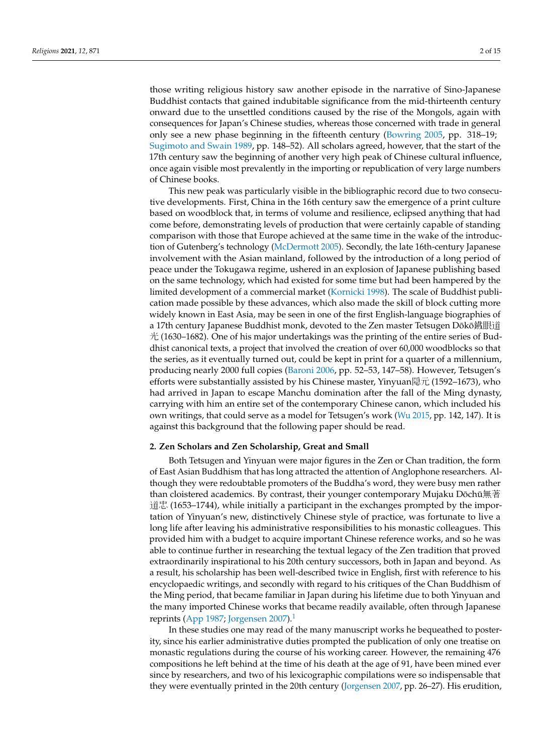those writing religious history saw another episode in the narrative of Sino-Japanese Buddhist contacts that gained indubitable significance from the mid-thirteenth century onward due to the unsettled conditions caused by the rise of the Mongols, again with consequences for Japan's Chinese studies, whereas those concerned with trade in general only see a new phase beginning in the fifteenth century [\(Bowring](#page-13-1) [2005,](#page-13-1) pp. 318–19; [Sugimoto and Swain](#page-14-1) [1989,](#page-14-1) pp. 148–52). All scholars agreed, however, that the start of the 17th century saw the beginning of another very high peak of Chinese cultural influence, once again visible most prevalently in the importing or republication of very large numbers of Chinese books.

This new peak was particularly visible in the bibliographic record due to two consecutive developments. First, China in the 16th century saw the emergence of a print culture based on woodblock that, in terms of volume and resilience, eclipsed anything that had come before, demonstrating levels of production that were certainly capable of standing comparison with those that Europe achieved at the same time in the wake of the introduction of Gutenberg's technology [\(McDermott](#page-13-2) [2005\)](#page-13-2). Secondly, the late 16th-century Japanese involvement with the Asian mainland, followed by the introduction of a long period of peace under the Tokugawa regime, ushered in an explosion of Japanese publishing based on the same technology, which had existed for some time but had been hampered by the limited development of a commercial market [\(Kornicki](#page-13-3) [1998\)](#page-13-3). The scale of Buddhist publication made possible by these advances, which also made the skill of block cutting more widely known in East Asia, may be seen in one of the first English-language biographies of a 17th century Japanese Buddhist monk, devoted to the Zen master Tetsugen Dōkō鐵眼道  $#$  (1630–1682). One of his major undertakings was the printing of the entire series of Buddhist canonical texts, a project that involved the creation of over 60,000 woodblocks so that the series, as it eventually turned out, could be kept in print for a quarter of a millennium, producing nearly 2000 full copies [\(Baroni](#page-13-4) [2006,](#page-13-4) pp. 52–53, 147–58). However, Tetsugen's efforts were substantially assisted by his Chinese master, Yinyuan隠元 (1592–1673), who had arrived in Japan to escape Manchu domination after the fall of the Ming dynasty, carrying with him an entire set of the contemporary Chinese canon, which included his own writings, that could serve as a model for Tetsugen's work [\(Wu](#page-14-2) [2015,](#page-14-2) pp. 142, 147). It is against this background that the following paper should be read.

#### **2. Zen Scholars and Zen Scholarship, Great and Small**

Both Tetsugen and Yinyuan were major figures in the Zen or Chan tradition, the form of East Asian Buddhism that has long attracted the attention of Anglophone researchers. Although they were redoubtable promoters of the Buddha's word, they were busy men rather than cloistered academics. By contrast, their younger contemporary Mujaku Dōchū無著 道忠 (1653–1744), while initially a participant in the exchanges prompted by the importation of Yinyuan's new, distinctively Chinese style of practice, was fortunate to live a long life after leaving his administrative responsibilities to his monastic colleagues. This provided him with a budget to acquire important Chinese reference works, and so he was able to continue further in researching the textual legacy of the Zen tradition that proved extraordinarily inspirational to his 20th century successors, both in Japan and beyond. As a result, his scholarship has been well-described twice in English, first with reference to his encyclopaedic writings, and secondly with regard to his critiques of the Chan Buddhism of the Ming period, that became familiar in Japan during his lifetime due to both Yinyuan and the many imported Chinese works that became readily available, often through Japanese reprints [\(App](#page-12-0) [1987;](#page-12-0) [Jorgensen](#page-13-5) [2007\)](#page-13-5).<sup>[1](#page-11-0)</sup>

<span id="page-1-0"></span>In these studies one may read of the many manuscript works he bequeathed to posterity, since his earlier administrative duties prompted the publication of only one treatise on monastic regulations during the course of his working career. However, the remaining 476 compositions he left behind at the time of his death at the age of 91, have been mined ever since by researchers, and two of his lexicographic compilations were so indispensable that they were eventually printed in the 20th century [\(Jorgensen](#page-13-5) [2007,](#page-13-5) pp. 26–27). His erudition,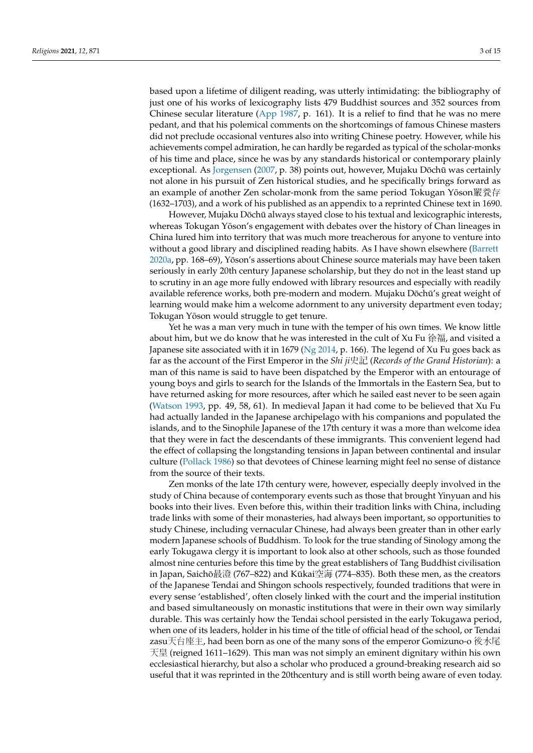based upon a lifetime of diligent reading, was utterly intimidating: the bibliography of just one of his works of lexicography lists 479 Buddhist sources and 352 sources from Chinese secular literature [\(App](#page-12-0) [1987,](#page-12-0) p. 161). It is a relief to find that he was no mere pedant, and that his polemical comments on the shortcomings of famous Chinese masters did not preclude occasional ventures also into writing Chinese poetry. However, while his achievements compel admiration, he can hardly be regarded as typical of the scholar-monks of his time and place, since he was by any standards historical or contemporary plainly exceptional. As [Jorgensen](#page-13-5) [\(2007,](#page-13-5) p. 38) points out, however, Mujaku Dōchū was certainly not alone in his pursuit of Zen historical studies, and he specifically brings forward as an example of another Zen scholar-monk from the same period Tokugan Yōson嚴養存 (1632–1703), and a work of his published as an appendix to a reprinted Chinese text in 1690.

However, Mujaku Dōchū always stayed close to his textual and lexicographic interests, whereas Tokugan Yōson's engagement with debates over the history of Chan lineages in China lured him into territory that was much more treacherous for anyone to venture into without a good library and disciplined reading habits. As I have shown elsewhere [\(Barrett](#page-13-6) [2020a,](#page-13-6) pp. 168–69), Yoson's assertions about Chinese source materials may have been taken ¯ seriously in early 20th century Japanese scholarship, but they do not in the least stand up to scrutiny in an age more fully endowed with library resources and especially with readily available reference works, both pre-modern and modern. Mujaku Dōchū's great weight of learning would make him a welcome adornment to any university department even today; Tokugan Yōson would struggle to get tenure.

Yet he was a man very much in tune with the temper of his own times. We know little about him, but we do know that he was interested in the cult of Xu Fu 徐福, and visited a Japanese site associated with it in 1679 ( $Ng$  [2014,](#page-13-7) p. 166). The legend of Xu Fu goes back as far as the account of the First Emperor in the *Shi ji*史記 (*Records of the Grand Historian*): a man of this name is said to have been dispatched by the Emperor with an entourage of young boys and girls to search for the Islands of the Immortals in the Eastern Sea, but to have returned asking for more resources, after which he sailed east never to be seen again [\(Watson](#page-14-3) [1993,](#page-14-3) pp. 49, 58, 61). In medieval Japan it had come to be believed that Xu Fu had actually landed in the Japanese archipelago with his companions and populated the islands, and to the Sinophile Japanese of the 17th century it was a more than welcome idea that they were in fact the descendants of these immigrants. This convenient legend had the effect of collapsing the longstanding tensions in Japan between continental and insular culture [\(Pollack](#page-13-8) [1986\)](#page-13-8) so that devotees of Chinese learning might feel no sense of distance from the source of their texts.

Zen monks of the late 17th century were, however, especially deeply involved in the study of China because of contemporary events such as those that brought Yinyuan and his books into their lives. Even before this, within their tradition links with China, including trade links with some of their monasteries, had always been important, so opportunities to study Chinese, including vernacular Chinese, had always been greater than in other early modern Japanese schools of Buddhism. To look for the true standing of Sinology among the early Tokugawa clergy it is important to look also at other schools, such as those founded almost nine centuries before this time by the great establishers of Tang Buddhist civilisation in Japan, Saichō最澄 (767–822) and Kūkai空海 (774–835). Both these men, as the creators of the Japanese Tendai and Shingon schools respectively, founded traditions that were in every sense 'established', often closely linked with the court and the imperial institution and based simultaneously on monastic institutions that were in their own way similarly durable. This was certainly how the Tendai school persisted in the early Tokugawa period, when one of its leaders, holder in his time of the title of official head of the school, or Tendai zasu天台座主, had been born as one of the many sons of the emperor Gomizuno-o 後水尾 天皇 (reigned 1611–1629). This man was not simply an eminent dignitary within his own ecclesiastical hierarchy, but also a scholar who produced a ground-breaking research aid so useful that it was reprinted in the 20thcentury and is still worth being aware of even today.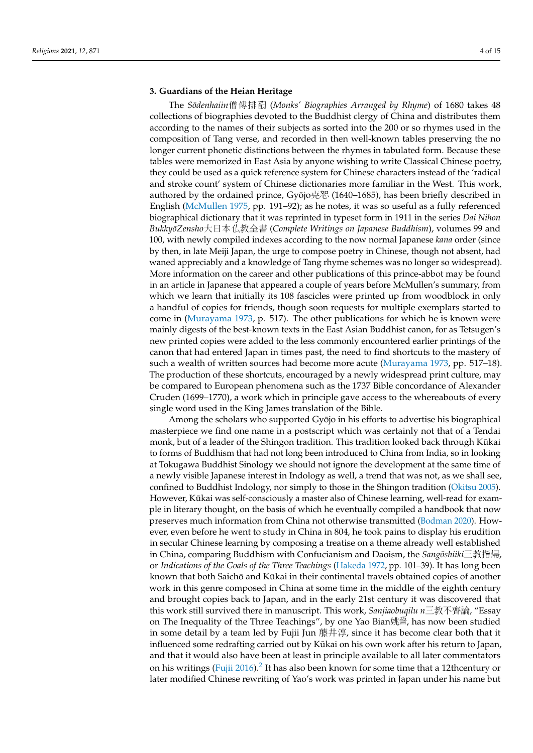#### **3. Guardians of the Heian Heritage**

The *Sōdenhaiin* 僧傳排韵 (Monks' Biographies Arranged by Rhyme) of 1680 takes 48 collections of biographies devoted to the Buddhist clergy of China and distributes them according to the names of their subjects as sorted into the 200 or so rhymes used in the composition of Tang verse, and recorded in then well-known tables preserving the no longer current phonetic distinctions between the rhymes in tabulated form. Because these tables were memorized in East Asia by anyone wishing to write Classical Chinese poetry, they could be used as a quick reference system for Chinese characters instead of the 'radical and stroke count' system of Chinese dictionaries more familiar in the West. This work, authored by the ordained prince,  $Gy\overline{o}$  (1640–1685), has been briefly described in English [\(McMullen](#page-13-9) [1975,](#page-13-9) pp. 191–92); as he notes, it was so useful as a fully referenced biographical dictionary that it was reprinted in typeset form in 1911 in the series *Dai Nihon BukkyoZensho ¯* 大日本仏教全書 (*Complete Writings on Japanese Buddhism*), volumes 99 and 100, with newly compiled indexes according to the now normal Japanese *kana* order (since by then, in late Meiji Japan, the urge to compose poetry in Chinese, though not absent, had waned appreciably and a knowledge of Tang rhyme schemes was no longer so widespread). More information on the career and other publications of this prince-abbot may be found in an article in Japanese that appeared a couple of years before McMullen's summary, from which we learn that initially its 108 fascicles were printed up from woodblock in only a handful of copies for friends, though soon requests for multiple exemplars started to come in [\(Murayama](#page-13-10) [1973,](#page-13-10) p. 517). The other publications for which he is known were mainly digests of the best-known texts in the East Asian Buddhist canon, for as Tetsugen's new printed copies were added to the less commonly encountered earlier printings of the canon that had entered Japan in times past, the need to find shortcuts to the mastery of such a wealth of written sources had become more acute [\(Murayama](#page-13-10) [1973,](#page-13-10) pp. 517–18). The production of these shortcuts, encouraged by a newly widespread print culture, may be compared to European phenomena such as the 1737 Bible concordance of Alexander Cruden (1699–1770), a work which in principle gave access to the whereabouts of every single word used in the King James translation of the Bible.

<span id="page-3-0"></span>Among the scholars who supported Gyōjo in his efforts to advertise his biographical masterpiece we find one name in a postscript which was certainly not that of a Tendai monk, but of a leader of the Shingon tradition. This tradition looked back through Kūkai to forms of Buddhism that had not long been introduced to China from India, so in looking at Tokugawa Buddhist Sinology we should not ignore the development at the same time of a newly visible Japanese interest in Indology as well, a trend that was not, as we shall see, confined to Buddhist Indology, nor simply to those in the Shingon tradition [\(Okitsu](#page-13-11) [2005\)](#page-13-11). However, Kūkai was self-consciously a master also of Chinese learning, well-read for example in literary thought, on the basis of which he eventually compiled a handbook that now preserves much information from China not otherwise transmitted [\(Bodman](#page-13-12) [2020\)](#page-13-12). However, even before he went to study in China in 804, he took pains to display his erudition in secular Chinese learning by composing a treatise on a theme already well established in China, comparing Buddhism with Confucianism and Daoism, the *Sangoshiiki ¯* 三教指帰, or *Indications of the Goals of the Three Teachings* [\(Hakeda](#page-13-13) [1972,](#page-13-13) pp. 101–39). It has long been known that both Saichō and Kūkai in their continental travels obtained copies of another work in this genre composed in China at some time in the middle of the eighth century and brought copies back to Japan, and in the early 21st century it was discovered that this work still survived there in manuscript. This work, *Sanjiaobuqilu n*三教不齊論, "Essay on The Inequality of the Three Teachings", by one Yao Bian姚晉, has now been studied in some detail by a team led by Fujii Jun 藤井淳, since it has become clear both that it influenced some redrafting carried out by Kūkai on his own work after his return to Japan, and that it would also have been at least in principle available to all later commentators on his writings [\(Fujii](#page-13-14) [2016\)](#page-13-14).<sup>[2](#page-11-1)</sup> It has also been known for some time that a 12thcentury or later modified Chinese rewriting of Yao's work was printed in Japan under his name but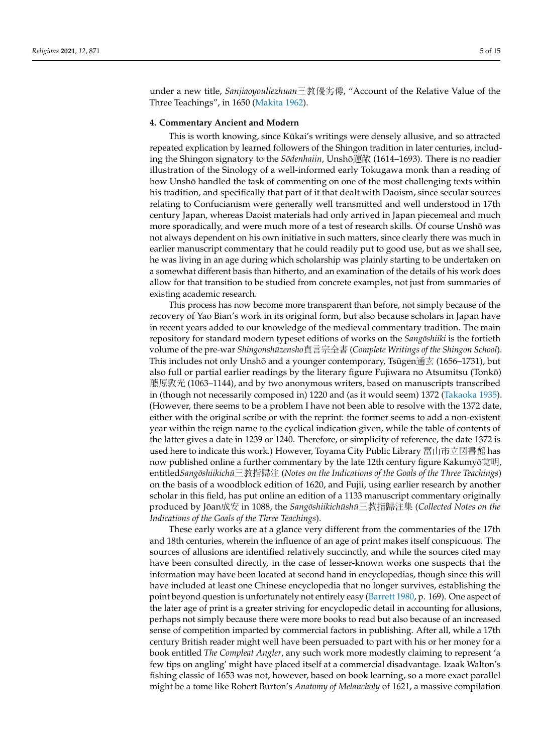under a new title, *Sanjiaoyouliezhuan*三教優劣傳, "Account of the Relative Value of the Three Teachings", in 1650 [\(Makita](#page-13-15) [1962\)](#page-13-15).

### **4. Commentary Ancient and Modern**

This is worth knowing, since Kūkai's writings were densely allusive, and so attracted repeated explication by learned followers of the Shingon tradition in later centuries, including the Shingon signatory to the *Sōdenhaiin*, Unshō運敞 (1614–1693). There is no readier illustration of the Sinology of a well-informed early Tokugawa monk than a reading of how Unshō handled the task of commenting on one of the most challenging texts within his tradition, and specifically that part of it that dealt with Daoism, since secular sources relating to Confucianism were generally well transmitted and well understood in 17th century Japan, whereas Daoist materials had only arrived in Japan piecemeal and much more sporadically, and were much more of a test of research skills. Of course Unshō was not always dependent on his own initiative in such matters, since clearly there was much in earlier manuscript commentary that he could readily put to good use, but as we shall see, he was living in an age during which scholarship was plainly starting to be undertaken on a somewhat different basis than hitherto, and an examination of the details of his work does allow for that transition to be studied from concrete examples, not just from summaries of existing academic research.

This process has now become more transparent than before, not simply because of the recovery of Yao Bian's work in its original form, but also because scholars in Japan have in recent years added to our knowledge of the medieval commentary tradition. The main repository for standard modern typeset editions of works on the *Sangoshiiki* is the fortieth volume of the pre-war *Shingonshuzensho ¯* 真言宗全書 (*Complete Writings of the Shingon School*). This includes not only Unshō and a younger contemporary, Ts $\bar{u}$ gen $\bar{H} \times (1656-1731)$ , but also full or partial earlier readings by the literary figure Fujiwara no Atsumitsu (Tonko)¯ 藤原敦光 (1063–1144), and by two anonymous writers, based on manuscripts transcribed in (though not necessarily composed in) 1220 and (as it would seem) 1372 [\(Takaoka](#page-14-4) [1935\)](#page-14-4). (However, there seems to be a problem I have not been able to resolve with the 1372 date, either with the original scribe or with the reprint: the former seems to add a non-existent year within the reign name to the cyclical indication given, while the table of contents of the latter gives a date in 1239 or 1240. Therefore, or simplicity of reference, the date 1372 is used here to indicate this work.) However, Toyama City Public Library 富山市立図書館 has now published online a further commentary by the late 12th century figure Kakumyō覚明, entitled*Sangōshiikichū*三教指歸注 (Notes on the Indications of the Goals of the Three Teachings) on the basis of a woodblock edition of 1620, and Fujii, using earlier research by another scholar in this field, has put online an edition of a 1133 manuscript commentary originally produced by Jōan成安 in 1088, the *Sangōshiikichūshū三*教指歸注集 (*Collected Notes on the Indications of the Goals of the Three Teachings*).

These early works are at a glance very different from the commentaries of the 17th and 18th centuries, wherein the influence of an age of print makes itself conspicuous. The sources of allusions are identified relatively succinctly, and while the sources cited may have been consulted directly, in the case of lesser-known works one suspects that the information may have been located at second hand in encyclopedias, though since this will have included at least one Chinese encyclopedia that no longer survives, establishing the point beyond question is unfortunately not entirely easy [\(Barrett](#page-13-16) [1980,](#page-13-16) p. 169). One aspect of the later age of print is a greater striving for encyclopedic detail in accounting for allusions, perhaps not simply because there were more books to read but also because of an increased sense of competition imparted by commercial factors in publishing. After all, while a 17th century British reader might well have been persuaded to part with his or her money for a book entitled *The Compleat Angler*, any such work more modestly claiming to represent 'a few tips on angling' might have placed itself at a commercial disadvantage. Izaak Walton's fishing classic of 1653 was not, however, based on book learning, so a more exact parallel might be a tome like Robert Burton's *Anatomy of Melancholy* of 1621, a massive compilation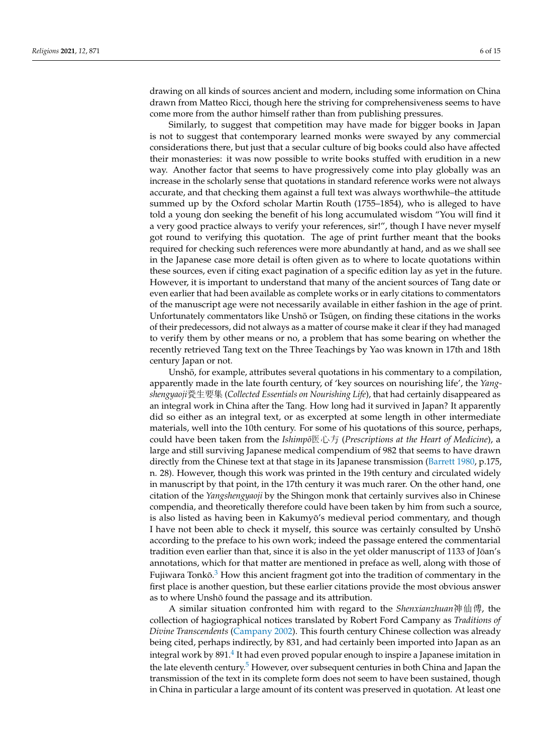drawing on all kinds of sources ancient and modern, including some information on China drawn from Matteo Ricci, though here the striving for comprehensiveness seems to have come more from the author himself rather than from publishing pressures.

Similarly, to suggest that competition may have made for bigger books in Japan is not to suggest that contemporary learned monks were swayed by any commercial considerations there, but just that a secular culture of big books could also have affected their monasteries: it was now possible to write books stuffed with erudition in a new way. Another factor that seems to have progressively come into play globally was an increase in the scholarly sense that quotations in standard reference works were not always accurate, and that checking them against a full text was always worthwhile–the attitude summed up by the Oxford scholar Martin Routh (1755–1854), who is alleged to have told a young don seeking the benefit of his long accumulated wisdom "You will find it a very good practice always to verify your references, sir!", though I have never myself got round to verifying this quotation. The age of print further meant that the books required for checking such references were more abundantly at hand, and as we shall see in the Japanese case more detail is often given as to where to locate quotations within these sources, even if citing exact pagination of a specific edition lay as yet in the future. However, it is important to understand that many of the ancient sources of Tang date or even earlier that had been available as complete works or in early citations to commentators of the manuscript age were not necessarily available in either fashion in the age of print. Unfortunately commentators like Unshō or Tsūgen, on finding these citations in the works of their predecessors, did not always as a matter of course make it clear if they had managed to verify them by other means or no, a problem that has some bearing on whether the recently retrieved Tang text on the Three Teachings by Yao was known in 17th and 18th century Japan or not.

Unshō, for example, attributes several quotations in his commentary to a compilation, apparently made in the late fourth century, of 'key sources on nourishing life', the *Yangshengyaoji*養生要集 (*Collected Essentials on Nourishing Life*), that had certainly disappeared as an integral work in China after the Tang. How long had it survived in Japan? It apparently did so either as an integral text, or as excerpted at some length in other intermediate materials, well into the 10th century. For some of his quotations of this source, perhaps, could have been taken from the *Ishimpo¯*医心方 (*Prescriptions at the Heart of Medicine*), a large and still surviving Japanese medical compendium of 982 that seems to have drawn directly from the Chinese text at that stage in its Japanese transmission [\(Barrett](#page-13-16) [1980,](#page-13-16) p.175, n. 28). However, though this work was printed in the 19th century and circulated widely in manuscript by that point, in the 17th century it was much rarer. On the other hand, one citation of the *Yangshengyaoji* by the Shingon monk that certainly survives also in Chinese compendia, and theoretically therefore could have been taken by him from such a source, is also listed as having been in Kakumyō's medieval period commentary, and though I have not been able to check it myself, this source was certainly consulted by Unshō according to the preface to his own work; indeed the passage entered the commentarial tradition even earlier than that, since it is also in the yet older manuscript of 1133 of Jōan's annotations, which for that matter are mentioned in preface as well, along with those of Fujiwara Tonkō. $3$  How this ancient fragment got into the tradition of commentary in the first place is another question, but these earlier citations provide the most obvious answer as to where Unshō found the passage and its attribution.

<span id="page-5-2"></span><span id="page-5-1"></span><span id="page-5-0"></span>A similar situation confronted him with regard to the *Shenxianzhuan*神仙傳, the collection of hagiographical notices translated by Robert Ford Campany as *Traditions of Divine Transcendents* [\(Campany](#page-13-17) [2002\)](#page-13-17). This fourth century Chinese collection was already being cited, perhaps indirectly, by 831, and had certainly been imported into Japan as an integral work by 891. $^4$  $^4$  It had even proved popular enough to inspire a Japanese imitation in the late eleventh century.<sup>[5](#page-11-4)</sup> However, over subsequent centuries in both China and Japan the transmission of the text in its complete form does not seem to have been sustained, though in China in particular a large amount of its content was preserved in quotation. At least one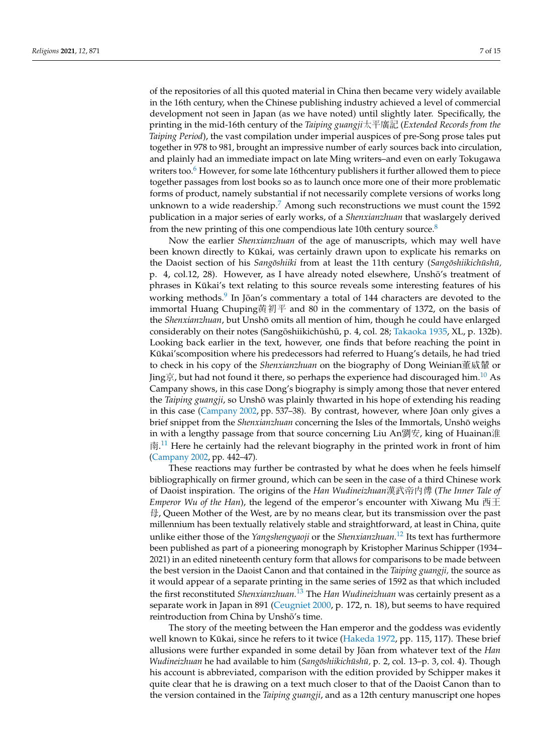of the repositories of all this quoted material in China then became very widely available in the 16th century, when the Chinese publishing industry achieved a level of commercial development not seen in Japan (as we have noted) until slightly later. Specifically, the printing in the mid-16th century of the *Taiping guangji*太平廣記 (*Extended Records from the Taiping Period*), the vast compilation under imperial auspices of pre-Song prose tales put together in 978 to 981, brought an impressive number of early sources back into circulation, and plainly had an immediate impact on late Ming writers–and even on early Tokugawa writers too.<sup>[6](#page-12-1)</sup> However, for some late 16thcentury publishers it further allowed them to piece together passages from lost books so as to launch once more one of their more problematic forms of product, namely substantial if not necessarily complete versions of works long unknown to a wide readership.<sup>[7](#page-12-2)</sup> Among such reconstructions we must count the 1592 publication in a major series of early works, of a *Shenxianzhuan* that waslargely derived from the new printing of this one compendious late 10th century source. $8$ 

<span id="page-6-3"></span><span id="page-6-2"></span><span id="page-6-1"></span><span id="page-6-0"></span>Now the earlier *Shenxianzhuan* of the age of manuscripts, which may well have been known directly to Kūkai, was certainly drawn upon to explicate his remarks on the Daoist section of his *Sangōshiiki* from at least the 11th century (*Sangōshiikichūshū*, p. 4, col.12, 28). However, as I have already noted elsewhere, Unshō's treatment of phrases in Kukai's text relating to this source reveals some interesting features of his ¯ working methods.<sup>[9](#page-12-4)</sup> In Jōan's commentary a total of 144 characters are devoted to the immortal Huang Chuping黄初平 and 80 in the commentary of 1372, on the basis of the *Shenxianzhuan*, but Unshō omits all mention of him, though he could have enlarged considerably on their notes (Sangōshiikichūshū, p. 4, col. 28; [Takaoka](#page-14-4) [1935,](#page-14-4) XL, p. 132b). Looking back earlier in the text, however, one finds that before reaching the point in Kūkai's composition where his predecessors had referred to Huang's details, he had tried to check in his copy of the *Shenxianzhuan* on the biography of Dong Weinian董威輦 or Jing京, but had not found it there, so perhaps the experience had discouraged him.<sup>[10](#page-12-5)</sup> As Campany shows, in this case Dong's biography is simply among those that never entered the *Taiping guangji*, so Unshō was plainly thwarted in his hope of extending his reading in this case [\(Campany](#page-13-17) [2002,](#page-13-17) pp. 537–38). By contrast, however, where Joan only gives a ¯ brief snippet from the *Shenxianzhuan* concerning the Isles of the Immortals, Unsho weighs ¯ in with a lengthy passage from that source concerning Liu An劉安, king of Huainan淮 南.<sup>[11](#page-12-6)</sup> Here he certainly had the relevant biography in the printed work in front of him [\(Campany](#page-13-17) [2002,](#page-13-17) pp. 442–47).

<span id="page-6-6"></span><span id="page-6-5"></span><span id="page-6-4"></span>These reactions may further be contrasted by what he does when he feels himself bibliographically on firmer ground, which can be seen in the case of a third Chinese work of Daoist inspiration. The origins of the *Han Wudineizhuan*漢武帝内傳 (*The Inner Tale of Emperor Wu of the Han*), the legend of the emperor's encounter with Xiwang Mu 西王 母, Queen Mother of the West, are by no means clear, but its transmission over the past millennium has been textually relatively stable and straightforward, at least in China, quite unlike either those of the *Yangshengyaoji* or the *Shenxianzhuan.*[12](#page-12-7) Its text has furthermore been published as part of a pioneering monograph by Kristopher Marinus Schipper (1934– 2021) in an edited nineteenth century form that allows for comparisons to be made between the best version in the Daoist Canon and that contained in the *Taiping guangji,* the source as it would appear of a separate printing in the same series of 1592 as that which included the first reconstituted *Shenxianzhuan.*[13](#page-12-8) The *Han Wudineizhuan* was certainly present as a separate work in Japan in 891 [\(Ceugniet](#page-13-18) [2000,](#page-13-18) p. 172, n. 18), but seems to have required reintroduction from China by Unshō's time.

<span id="page-6-7"></span>The story of the meeting between the Han emperor and the goddess was evidently well known to Kūkai, since he refers to it twice ([Hakeda](#page-13-13) [1972,](#page-13-13) pp. 115, 117). These brief allusions were further expanded in some detail by Jōan from whatever text of the *Han Wudineizhuan* he had available to him (*Sangōshiikichūshū*, p. 2, col. 13–p. 3, col. 4). Though his account is abbreviated, comparison with the edition provided by Schipper makes it quite clear that he is drawing on a text much closer to that of the Daoist Canon than to the version contained in the *Taiping guangji*, and as a 12th century manuscript one hopes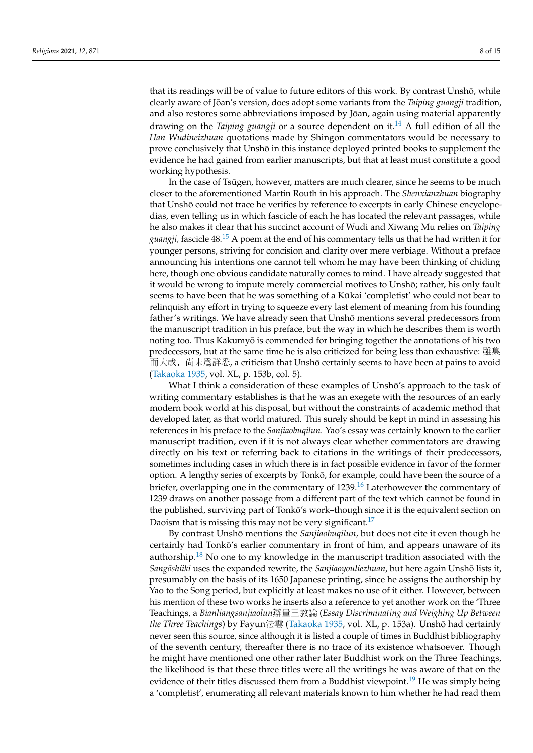<span id="page-7-0"></span>that its readings will be of value to future editors of this work. By contrast Unshō, while clearly aware of Jōan's version, does adopt some variants from the *Taiping guangji* tradition, and also restores some abbreviations imposed by Jōan, again using material apparently drawing on the *Taiping guangji* or a source dependent on it.<sup>[14](#page-12-9)</sup> A full edition of all the *Han Wudineizhuan* quotations made by Shingon commentators would be necessary to prove conclusively that Unshō in this instance deployed printed books to supplement the evidence he had gained from earlier manuscripts, but that at least must constitute a good working hypothesis.

<span id="page-7-1"></span>In the case of Tsugen, however, matters are much clearer, since he seems to be much closer to the aforementioned Martin Routh in his approach. The *Shenxianzhuan* biography that Unshō could not trace he verifies by reference to excerpts in early Chinese encyclopedias, even telling us in which fascicle of each he has located the relevant passages, while he also makes it clear that his succinct account of Wudi and Xiwang Mu relies on *Taiping guangji,* fascicle 48.[15](#page-12-10) A poem at the end of his commentary tells us that he had written it for younger persons, striving for concision and clarity over mere verbiage. Without a preface announcing his intentions one cannot tell whom he may have been thinking of chiding here, though one obvious candidate naturally comes to mind. I have already suggested that it would be wrong to impute merely commercial motives to Unshō; rather, his only fault seems to have been that he was something of a Kūkai 'completist' who could not bear to relinquish any effort in trying to squeeze every last element of meaning from his founding father's writings. We have already seen that Unshō mentions several predecessors from the manuscript tradition in his preface, but the way in which he describes them is worth noting too. Thus Kakumyō is commended for bringing together the annotations of his two predecessors, but at the same time he is also criticized for being less than exhaustive: 雖集 而大成, 尚未爲詳悉, a criticism that Unshō certainly seems to have been at pains to avoid [\(Takaoka](#page-14-4) [1935,](#page-14-4) vol. XL, p. 153b, col. 5).

What I think a consideration of these examples of Unshō's approach to the task of writing commentary establishes is that he was an exegete with the resources of an early modern book world at his disposal, but without the constraints of academic method that developed later, as that world matured. This surely should be kept in mind in assessing his references in his preface to the *Sanjiaobuqilun.* Yao's essay was certainly known to the earlier manuscript tradition, even if it is not always clear whether commentators are drawing directly on his text or referring back to citations in the writings of their predecessors, sometimes including cases in which there is in fact possible evidence in favor of the former option. A lengthy series of excerpts by Tonkō, for example, could have been the source of a briefer, overlapping one in the commentary of 1239.<sup>[16](#page-12-11)</sup> Laterhowever the commentary of 1239 draws on another passage from a different part of the text which cannot be found in the published, surviving part of Tonkō's work–though since it is the equivalent section on Daoism that is missing this may not be very significant.<sup>[17](#page-12-12)</sup>

<span id="page-7-5"></span><span id="page-7-4"></span><span id="page-7-3"></span><span id="page-7-2"></span>By contrast Unshō mentions the *Sanjiaobuqilun*, but does not cite it even though he certainly had Tonkō's earlier commentary in front of him, and appears unaware of its authorship.<sup>[18](#page-12-13)</sup> No one to my knowledge in the manuscript tradition associated with the *Sangōshiiki* uses the expanded rewrite, the *Sanjiaoyouliezhuan*, but here again Unshō lists it, presumably on the basis of its 1650 Japanese printing, since he assigns the authorship by Yao to the Song period, but explicitly at least makes no use of it either. However, between his mention of these two works he inserts also a reference to yet another work on the 'Three Teachings, a *Bianliangsanjiaolun*辯量三教論 (*Essay Discriminating and Weighing Up Between the Three Teachings*) by Fayun法雲 [\(Takaoka](#page-14-4) [1935,](#page-14-4) vol. XL, p. 153a). Unsho had certainly ¯ never seen this source, since although it is listed a couple of times in Buddhist bibliography of the seventh century, thereafter there is no trace of its existence whatsoever. Though he might have mentioned one other rather later Buddhist work on the Three Teachings, the likelihood is that these three titles were all the writings he was aware of that on the evidence of their titles discussed them from a Buddhist viewpoint.<sup>[19](#page-12-14)</sup> He was simply being a 'completist', enumerating all relevant materials known to him whether he had read them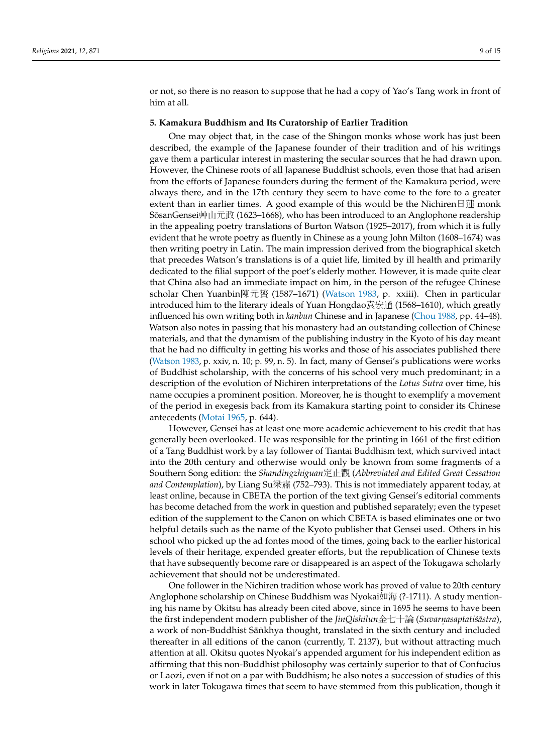or not, so there is no reason to suppose that he had a copy of Yao's Tang work in front of him at all.

#### **5. Kamakura Buddhism and Its Curatorship of Earlier Tradition**

One may object that, in the case of the Shingon monks whose work has just been described, the example of the Japanese founder of their tradition and of his writings gave them a particular interest in mastering the secular sources that he had drawn upon. However, the Chinese roots of all Japanese Buddhist schools, even those that had arisen from the efforts of Japanese founders during the ferment of the Kamakura period, were always there, and in the 17th century they seem to have come to the fore to a greater extent than in earlier times. A good example of this would be the Nichiren日蓮 monk SōsanGensei艸山元政 (1623–1668), who has been introduced to an Anglophone readership in the appealing poetry translations of Burton Watson (1925–2017), from which it is fully evident that he wrote poetry as fluently in Chinese as a young John Milton (1608–1674) was then writing poetry in Latin. The main impression derived from the biographical sketch that precedes Watson's translations is of a quiet life, limited by ill health and primarily dedicated to the filial support of the poet's elderly mother. However, it is made quite clear that China also had an immediate impact on him, in the person of the refugee Chinese scholar Chen Yuanbin陳元贇 (1587–1671) [\(Watson](#page-14-5) [1983,](#page-14-5) p. xxiii). Chen in particular introduced him to the literary ideals of Yuan Hongdao袁宏道 (1568–1610), which greatly influenced his own writing both in *kanbun* Chinese and in Japanese [\(Chou](#page-13-19) [1988,](#page-13-19) pp. 44–48). Watson also notes in passing that his monastery had an outstanding collection of Chinese materials, and that the dynamism of the publishing industry in the Kyoto of his day meant that he had no difficulty in getting his works and those of his associates published there [\(Watson](#page-14-5) [1983,](#page-14-5) p. xxiv, n. 10; p. 99, n. 5). In fact, many of Gensei's publications were works of Buddhist scholarship, with the concerns of his school very much predominant; in a description of the evolution of Nichiren interpretations of the *Lotus Sutra* over time, his name occupies a prominent position. Moreover, he is thought to exemplify a movement of the period in exegesis back from its Kamakura starting point to consider its Chinese antecedents [\(Motai](#page-13-20) [1965,](#page-13-20) p. 644).

However, Gensei has at least one more academic achievement to his credit that has generally been overlooked. He was responsible for the printing in 1661 of the first edition of a Tang Buddhist work by a lay follower of Tiantai Buddhism text, which survived intact into the 20th century and otherwise would only be known from some fragments of a Southern Song edition: the *Shandingzhiguan*定止觀 (*Abbreviated and Edited Great Cessation and Contemplation*), by Liang Su梁肅 (752–793). This is not immediately apparent today, at least online, because in CBETA the portion of the text giving Gensei's editorial comments has become detached from the work in question and published separately; even the typeset edition of the supplement to the Canon on which CBETA is based eliminates one or two helpful details such as the name of the Kyoto publisher that Gensei used. Others in his school who picked up the ad fontes mood of the times, going back to the earlier historical levels of their heritage, expended greater efforts, but the republication of Chinese texts that have subsequently become rare or disappeared is an aspect of the Tokugawa scholarly achievement that should not be underestimated.

One follower in the Nichiren tradition whose work has proved of value to 20th century Anglophone scholarship on Chinese Buddhism was Nyokai如海 (?-1711). A study mentioning his name by Okitsu has already been cited above, since in 1695 he seems to have been the first independent modern publisher of the *JinQishilun*金七十論 (*Suvarnasaptatiśāstra*), a work of non-Buddhist Sāṅkhya thought, translated in the sixth century and included thereafter in all editions of the canon (currently, T. 2137), but without attracting much attention at all. Okitsu quotes Nyokai's appended argument for his independent edition as affirming that this non-Buddhist philosophy was certainly superior to that of Confucius or Laozi, even if not on a par with Buddhism; he also notes a succession of studies of this work in later Tokugawa times that seem to have stemmed from this publication, though it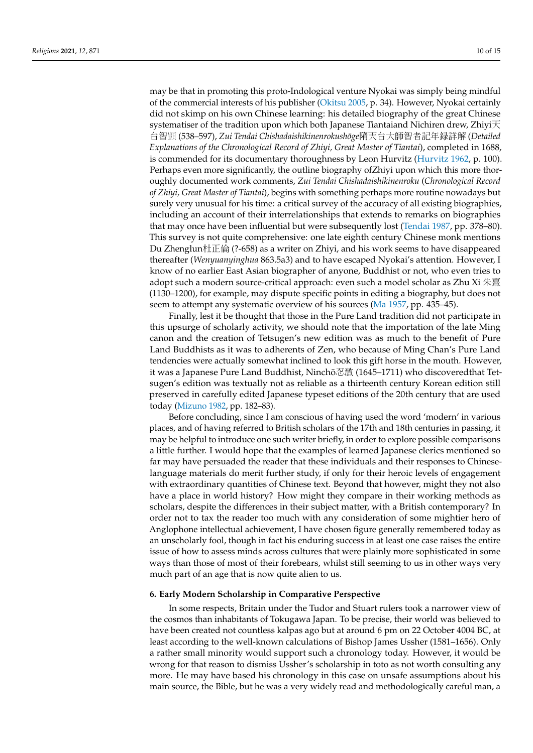may be that in promoting this proto-Indological venture Nyokai was simply being mindful of the commercial interests of his publisher [\(Okitsu](#page-13-11) [2005,](#page-13-11) p. 34). However, Nyokai certainly did not skimp on his own Chinese learning: his detailed biography of the great Chinese systematiser of the tradition upon which both Japanese Tiantaiand Nichiren drew, Zhiyi $\mp$ 台智顗 (538–597), *Zui Tendai Chishadaishikinenrokushoge ¯* 隋天台大師智者記年録詳解 (*Detailed Explanations of the Chronological Record of Zhiyi, Great Master of Tiantai*), completed in 1688, is commended for its documentary thoroughness by Leon Hurvitz [\(Hurvitz](#page-13-21) [1962,](#page-13-21) p. 100). Perhaps even more significantly, the outline biography ofZhiyi upon which this more thoroughly documented work comments, *Zui Tendai Chishadaishikinenroku* (*Chronological Record of Zhiyi, Great Master of Tiantai*), begins with something perhaps more routine nowadays but surely very unusual for his time: a critical survey of the accuracy of all existing biographies, including an account of their interrelationships that extends to remarks on biographies that may once have been influential but were subsequently lost [\(Tendai](#page-14-6) [1987,](#page-14-6) pp. 378–80). This survey is not quite comprehensive: one late eighth century Chinese monk mentions Du Zhenglun杜正倫 (?-658) as a writer on Zhiyi, and his work seems to have disappeared thereafter (*Wenyuanyinghua* 863.5a3) and to have escaped Nyokai's attention. However, I know of no earlier East Asian biographer of anyone, Buddhist or not, who even tries to adopt such a modern source-critical approach: even such a model scholar as Zhu Xi 朱熹 (1130–1200), for example, may dispute specific points in editing a biography, but does not seem to attempt any systematic overview of his sources [\(Ma](#page-13-22) [1957,](#page-13-22) pp. 435–45).

Finally, lest it be thought that those in the Pure Land tradition did not participate in this upsurge of scholarly activity, we should note that the importation of the late Ming canon and the creation of Tetsugen's new edition was as much to the benefit of Pure Land Buddhists as it was to adherents of Zen, who because of Ming Chan's Pure Land tendencies were actually somewhat inclined to look this gift horse in the mouth. However, it was a Japanese Pure Land Buddhist, Ninchō忍澂 (1645–1711) who discoveredthat Tetsugen's edition was textually not as reliable as a thirteenth century Korean edition still preserved in carefully edited Japanese typeset editions of the 20th century that are used today [\(Mizuno](#page-13-23) [1982,](#page-13-23) pp. 182–83).

Before concluding, since I am conscious of having used the word 'modern' in various places, and of having referred to British scholars of the 17th and 18th centuries in passing, it may be helpful to introduce one such writer briefly, in order to explore possible comparisons a little further. I would hope that the examples of learned Japanese clerics mentioned so far may have persuaded the reader that these individuals and their responses to Chineselanguage materials do merit further study, if only for their heroic levels of engagement with extraordinary quantities of Chinese text. Beyond that however, might they not also have a place in world history? How might they compare in their working methods as scholars, despite the differences in their subject matter, with a British contemporary? In order not to tax the reader too much with any consideration of some mightier hero of Anglophone intellectual achievement, I have chosen figure generally remembered today as an unscholarly fool, though in fact his enduring success in at least one case raises the entire issue of how to assess minds across cultures that were plainly more sophisticated in some ways than those of most of their forebears, whilst still seeming to us in other ways very much part of an age that is now quite alien to us.

#### **6. Early Modern Scholarship in Comparative Perspective**

In some respects, Britain under the Tudor and Stuart rulers took a narrower view of the cosmos than inhabitants of Tokugawa Japan. To be precise, their world was believed to have been created not countless kalpas ago but at around 6 pm on 22 October 4004 BC, at least according to the well-known calculations of Bishop James Ussher (1581–1656). Only a rather small minority would support such a chronology today. However, it would be wrong for that reason to dismiss Ussher's scholarship in toto as not worth consulting any more. He may have based his chronology in this case on unsafe assumptions about his main source, the Bible, but he was a very widely read and methodologically careful man, a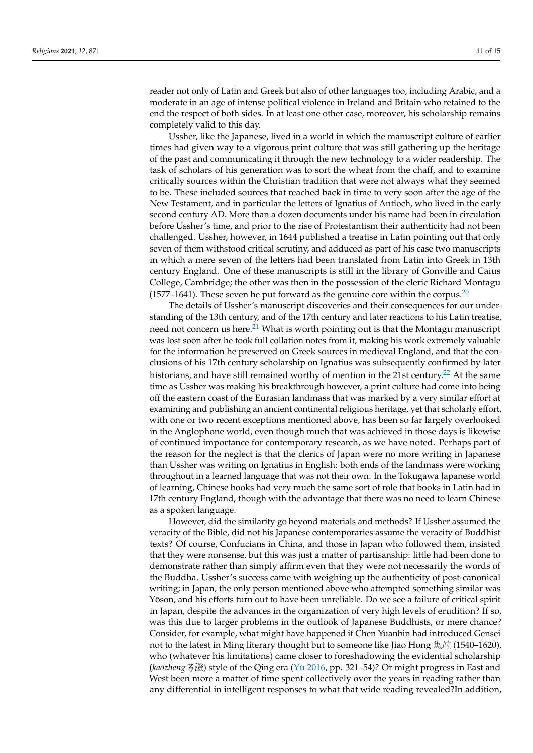reader not only of Latin and Greek but also of other languages too, including Arabic, and a moderate in an age of intense political violence in Ireland and Britain who retained to the end the respect of both sides. In at least one other case, moreover, his scholarship remains completely valid to this day.

Ussher, like the Japanese, lived in a world in which the manuscript culture of earlier times had given way to a vigorous print culture that was still gathering up the heritage of the past and communicating it through the new technology to a wider readership. The task of scholars of his generation was to sort the wheat from the chaff, and to examine critically sources within the Christian tradition that were not always what they seemed to be. These included sources that reached back in time to very soon after the age of the New Testament, and in particular the letters of Ignatius of Antioch, who lived in the early second century AD. More than a dozen documents under his name had been in circulation before Ussher's time, and prior to the rise of Protestantism their authenticity had not been challenged. Ussher, however, in 1644 published a treatise in Latin pointing out that only seven of them withstood critical scrutiny, and adduced as part of his case two manuscripts in which a mere seven of the letters had been translated from Latin into Greek in 13th century England. One of these manuscripts is still in the library of Gonville and Caius College, Cambridge; the other was then in the possession of the cleric Richard Montagu (1577–1641). These seven he put forward as the genuine core within the corpus.<sup>[20](#page-12-15)</sup>

<span id="page-10-2"></span><span id="page-10-1"></span><span id="page-10-0"></span>The details of Ussher's manuscript discoveries and their consequences for our understanding of the 13th century, and of the 17th century and later reactions to his Latin treatise, need not concern us here. $^{21}$  $^{21}$  $^{21}$  What is worth pointing out is that the Montagu manuscript was lost soon after he took full collation notes from it, making his work extremely valuable for the information he preserved on Greek sources in medieval England, and that the conclusions of his 17th century scholarship on Ignatius was subsequently confirmed by later historians, and have still remained worthy of mention in the 21st century.<sup>[22](#page-12-17)</sup> At the same time as Ussher was making his breakthrough however, a print culture had come into being off the eastern coast of the Eurasian landmass that was marked by a very similar effort at examining and publishing an ancient continental religious heritage, yet that scholarly effort, with one or two recent exceptions mentioned above, has been so far largely overlooked in the Anglophone world, even though much that was achieved in those days is likewise of continued importance for contemporary research, as we have noted. Perhaps part of the reason for the neglect is that the clerics of Japan were no more writing in Japanese than Ussher was writing on Ignatius in English: both ends of the landmass were working throughout in a learned language that was not their own. In the Tokugawa Japanese world of learning, Chinese books had very much the same sort of role that books in Latin had in 17th century England, though with the advantage that there was no need to learn Chinese as a spoken language.

However, did the similarity go beyond materials and methods? If Ussher assumed the veracity of the Bible, did not his Japanese contemporaries assume the veracity of Buddhist texts? Of course, Confucians in China, and those in Japan who followed them, insisted that they were nonsense, but this was just a matter of partisanship: little had been done to demonstrate rather than simply affirm even that they were not necessarily the words of the Buddha. Ussher's success came with weighing up the authenticity of post-canonical writing; in Japan, the only person mentioned above who attempted something similar was Yōson, and his efforts turn out to have been unreliable. Do we see a failure of critical spirit in Japan, despite the advances in the organization of very high levels of erudition? If so, was this due to larger problems in the outlook of Japanese Buddhists, or mere chance? Consider, for example, what might have happened if Chen Yuanbin had introduced Gensei not to the latest in Ming literary thought but to someone like Jiao Hong  $\frac{\text{d}t}{\text{d}t}$  (1540–1620), who (whatever his limitations) came closer to foreshadowing the evidential scholarship (*kaozheng*考證) style of the Qing era [\(Yü](#page-14-7) [2016,](#page-14-7) pp. 321–54)? Or might progress in East and West been more a matter of time spent collectively over the years in reading rather than any differential in intelligent responses to what that wide reading revealed?In addition,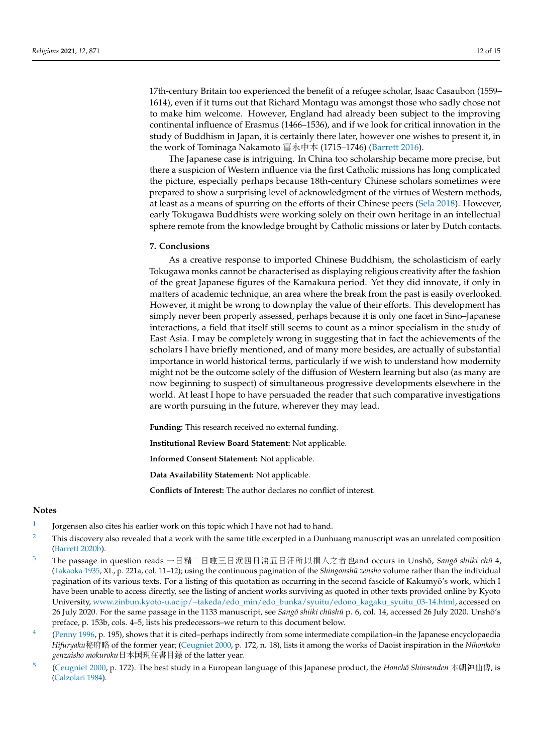17th-century Britain too experienced the benefit of a refugee scholar, Isaac Casaubon (1559– 1614), even if it turns out that Richard Montagu was amongst those who sadly chose not to make him welcome. However, England had already been subject to the improving continental influence of Erasmus (1466–1536), and if we look for critical innovation in the study of Buddhism in Japan, it is certainly there later, however one wishes to present it, in the work of Tominaga Nakamoto 富永中本 (1715–1746) [\(Barrett](#page-13-24) [2016\)](#page-13-24).

The Japanese case is intriguing. In China too scholarship became more precise, but there a suspicion of Western influence via the first Catholic missions has long complicated the picture, especially perhaps because 18th-century Chinese scholars sometimes were prepared to show a surprising level of acknowledgment of the virtues of Western methods, at least as a means of spurring on the efforts of their Chinese peers [\(Sela](#page-14-8) [2018\)](#page-14-8). However, early Tokugawa Buddhists were working solely on their own heritage in an intellectual sphere remote from the knowledge brought by Catholic missions or later by Dutch contacts.

#### **7. Conclusions**

As a creative response to imported Chinese Buddhism, the scholasticism of early Tokugawa monks cannot be characterised as displaying religious creativity after the fashion of the great Japanese figures of the Kamakura period. Yet they did innovate, if only in matters of academic technique, an area where the break from the past is easily overlooked. However, it might be wrong to downplay the value of their efforts. This development has simply never been properly assessed, perhaps because it is only one facet in Sino–Japanese interactions, a field that itself still seems to count as a minor specialism in the study of East Asia. I may be completely wrong in suggesting that in fact the achievements of the scholars I have briefly mentioned, and of many more besides, are actually of substantial importance in world historical terms, particularly if we wish to understand how modernity might not be the outcome solely of the diffusion of Western learning but also (as many are now beginning to suspect) of simultaneous progressive developments elsewhere in the world. At least I hope to have persuaded the reader that such comparative investigations are worth pursuing in the future, wherever they may lead.

**Funding:** This research received no external funding.

**Institutional Review Board Statement:** Not applicable.

**Informed Consent Statement:** Not applicable.

**Data Availability Statement:** Not applicable.

**Conflicts of Interest:** The author declares no conflict of interest.

#### **Notes**

- <span id="page-11-0"></span>[1](#page-1-0) Jorgensen also cites his earlier work on this topic which I have not had to hand.
- <span id="page-11-1"></span><sup>[2](#page-3-0)</sup> This discovery also revealed that a work with the same title excerpted in a Dunhuang manuscript was an unrelated composition [\(Barrett](#page-13-25) [2020b\)](#page-13-25).
- <span id="page-11-2"></span>[3](#page-5-0) The passage in question reads 一日精二日唾三日涙四日涕五日汗所以損人之者也and occurs in Unshō, Sangō shiiki chū 4, [\(Takaoka](#page-14-4) [1935,](#page-14-4) XL, p. 221a, col. 11–12); using the continuous pagination of the *Shingonshū zensho* volume rather than the individual pagination of its various texts. For a listing of this quotation as occurring in the second fascicle of Kakumyō's work, which I have been unable to access directly, see the listing of ancient works surviving as quoted in other texts provided online by Kyoto University, [www.zinbun.kyoto-u.ac.jp/~takeda/edo\\_min/edo\\_bunka/syuitu/edono\\_kagaku\\_syuitu\\_03-14.html,](www.zinbun.kyoto-u.ac.jp/~takeda/edo_min/edo_bunka/syuitu/edono_kagaku_syuitu_03-14.html) accessed on 26 July 2020. For the same passage in the 1133 manuscript, see *Sangō shiiki chūshū* p. 6, col. 14, accessed 26 July 2020. Unshō's preface, p. 153b, cols. 4–5, lists his predecessors–we return to this document below.
- <span id="page-11-3"></span>[4](#page-5-1) [\(Penny](#page-13-26) [1996,](#page-13-26) p. 195), shows that it is cited–perhaps indirectly from some intermediate compilation–in the Japanese encyclopaedia *Hifuryaku*秘府略 of the former year; [\(Ceugniet](#page-13-18) [2000,](#page-13-18) p. 172, n. 18), lists it among the works of Daoist inspiration in the *Nihonkoku genzaisho mokuroku*日本国現在書目録 of the latter year.
- <span id="page-11-4"></span>[5](#page-5-2) [\(Ceugniet](#page-13-18) [2000,](#page-13-18) p. 172). The best study in a European language of this Japanese product, the *Honcho Shinsenden ¯* 本朝神仙傳, is [\(Calzolari](#page-13-27) [1984\)](#page-13-27).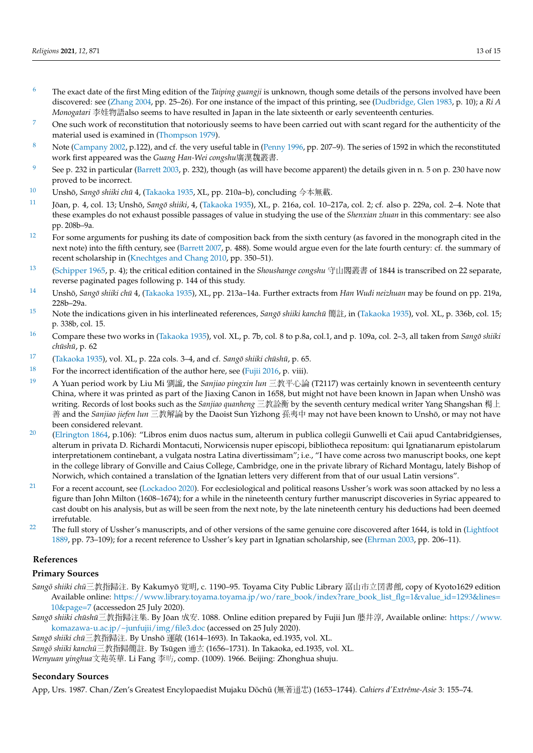- <span id="page-12-1"></span>[6](#page-6-0) The exact date of the first Ming edition of the *Taiping guangji* is unknown, though some details of the persons involved have been discovered: see [\(Zhang](#page-14-9) [2004,](#page-14-9) pp. 25–26). For one instance of the impact of this printing, see [\(Dudbridge, Glen](#page-13-28) [1983,](#page-13-28) p. 10); a *Ri A Monogatari* 李娃物語also seems to have resulted in Japan in the late sixteenth or early seventeenth centuries.
- <span id="page-12-2"></span> $7$  One such work of reconstitution that notoriously seems to have been carried out with scant regard for the authenticity of the material used is examined in [\(Thompson](#page-14-10) [1979\)](#page-14-10).
- <span id="page-12-3"></span>[8](#page-6-2) Note [\(Campany](#page-13-17) [2002,](#page-13-17) p.122), and cf. the very useful table in [\(Penny](#page-13-26) [1996,](#page-13-26) pp. 207–9). The series of 1592 in which the reconstituted work first appeared was the *Guang Han-Wei congshu*廣漢魏叢書.
- <span id="page-12-4"></span><sup>[9](#page-6-3)</sup> See p. 232 in particular [\(Barrett](#page-13-29) [2003,](#page-13-29) p. 232), though (as will have become apparent) the details given in n. 5 on p. 230 have now proved to be incorrect.
- <span id="page-12-5"></span>[10](#page-6-4) Unshō, Sangō shiiki chū 4, [\(Takaoka](#page-14-4) [1935,](#page-14-4) XL, pp. 210a–b), concluding 今本無載.
- <span id="page-12-6"></span>[11](#page-6-5) Jōan, p. 4, col. 13; Unshō, Sangō shiiki, 4, [\(Takaoka](#page-14-4) [1935\)](#page-14-4), XL, p. 216a, col. 10–217a, col. 2; cf. also p. 229a, col. 2–4. Note that these examples do not exhaust possible passages of value in studying the use of the *Shenxian zhuan* in this commentary: see also pp. 208b–9a.
- <span id="page-12-7"></span><sup>[12](#page-6-6)</sup> For some arguments for pushing its date of composition back from the sixth century (as favored in the monograph cited in the next note) into the fifth century, see [\(Barrett](#page-13-30) [2007,](#page-13-30) p. 488). Some would argue even for the late fourth century: cf. the summary of recent scholarship in [\(Knechtges and Chang](#page-13-31) [2010,](#page-13-31) pp. 350–51).
- <span id="page-12-8"></span>[13](#page-6-7) [\(Schipper](#page-13-32) [1965,](#page-13-32) p. 4); the critical edition contained in the *Shoushange congshu* 守山閣叢書 of 1844 is transcribed on 22 separate, reverse paginated pages following p. 144 of this study.
- <span id="page-12-9"></span><sup>[14](#page-7-0)</sup> Unshō, Sangō shiiki chū 4, [\(Takaoka](#page-14-4) [1935\)](#page-14-4), XL, pp. 213a–14a. Further extracts from *Han Wudi neizhuan* may be found on pp. 219a, 228b–29a.
- <span id="page-12-10"></span><sup>[15](#page-7-1)</sup> Note the indications given in his interlineated references, *Sangō shiiki kanchū* 簡註, in [\(Takaoka](#page-14-4) [1935\)](#page-14-4), vol. XL, p. 336b, col. 15; p. 338b, col. 15.
- <span id="page-12-11"></span>[16](#page-7-2) Compare these two works in [\(Takaoka](#page-14-4) [1935\)](#page-14-4), vol. XL, p. 7b, col. 8 to p.8a, col.1, and p. 109a, col. 2–3, all taken from *Sango shiiki ¯*  $chūshū, p. 62$
- <span id="page-12-12"></span>[17](#page-7-3) [\(Takaoka](#page-14-4) [1935\)](#page-14-4), vol. XL, p. 22a cols. 3–4, and cf. *Sangō shiiki chūshū*, p. 65.
- <span id="page-12-13"></span>[18](#page-7-4) For the incorrect identification of the author here, see [\(Fujii](#page-13-14) [2016,](#page-13-14) p. viii).
- <span id="page-12-14"></span>[19](#page-7-5) A Yuan period work by Liu Mi 劉謐, the *Sanjiao pingxin lun* 三教平心論 (T2117) was certainly known in seventeenth century China, where it was printed as part of the Jiaxing Canon in 1658, but might not have been known in Japan when Unshō was writing. Records of lost books such as the *Sanjiao quanheng* 三教詮衡 by the seventh century medical writer Yang Shangshan 楊上 善 and the *Sanjiao jiefen lun* 三教解論 by the Daoist Sun Yizhong 孫夷中 may not have been known to Unsho, or may not have ¯ been considered relevant.
- <span id="page-12-15"></span><sup>[20](#page-10-0)</sup> [\(Elrington](#page-13-33) [1864,](#page-13-33) p.106): "Libros enim duos nactus sum, alterum in publica collegii Gunwelli et Caii apud Cantabridgienses, alterum in privata D. Richardi Montacuti, Norwicensis nuper episcopi, bibliotheca repositum: qui Ignatianarum epistolarum interpretationem continebant, a vulgata nostra Latina divertissimam"; i.e., "I have come across two manuscript books, one kept in the college library of Gonville and Caius College, Cambridge, one in the private library of Richard Montagu, lately Bishop of Norwich, which contained a translation of the Ignatian letters very different from that of our usual Latin versions".
- <span id="page-12-16"></span><sup>[21](#page-10-1)</sup> For a recent account, see [\(Lockadoo](#page-13-34) [2020\)](#page-13-34). For ecclesiological and political reasons Ussher's work was soon attacked by no less a figure than John Milton (1608–1674); for a while in the nineteenth century further manuscript discoveries in Syriac appeared to cast doubt on his analysis, but as will be seen from the next note, by the late nineteenth century his deductions had been deemed irrefutable.
- <span id="page-12-17"></span> $22$  The full story of Ussher's manuscripts, and of other versions of the same genuine core discovered after 1644, is told in [\(Lightfoot](#page-13-35) [1889,](#page-13-35) pp. 73–109); for a recent reference to Ussher's key part in Ignatian scholarship, see [\(Ehrman](#page-13-36) [2003,](#page-13-36) pp. 206–11).

#### **References**

#### **Primary Sources**

- *Sangō shiiki chū*三教指歸注. By Kakumyō 覚明, c. 1190–95. Toyama City Public Library 富山市立図書館, copy of Kyoto1629 edition Available online: [https://www.library.toyama.toyama.jp/wo/rare\\_book/index?rare\\_book\\_list\\_flg=1&value\\_id=1293&lines=](https://www.library.toyama.toyama.jp/wo/rare_book/index?rare_book_list_flg=1&value_id=1293&lines=10&page=7) [10&page=7](https://www.library.toyama.toyama.jp/wo/rare_book/index?rare_book_list_flg=1&value_id=1293&lines=10&page=7) (accessedon 25 July 2020).
- Sangō shiiki chūshū三教指歸注集. By Jōan 成安. 1088. Online edition prepared by Fujii Jun 藤井淳, Available online: [https://www.](https://www.komazawa-u.ac.jp/~junfujii/img/file3.doc) [komazawa-u.ac.jp/~junfujii/img/file3.doc](https://www.komazawa-u.ac.jp/~junfujii/img/file3.doc) (accessed on 25 July 2020).
- *Sango shiiki ch ¯ u¯*三教指歸注. By Unsho¯ 運敞 (1614–1693). In Takaoka, ed.1935, vol. XL.
- *Sango shiiki kanch ¯ u¯*三教指歸簡註. By Tsugen ¯ 通玄 (1656–1731). In Takaoka, ed.1935, vol. XL.

*Wenyuan yinghua*文苑英華. Li Fang 李昉, comp. (1009). 1966. Beijing: Zhonghua shuju.

#### **Secondary Sources**

<span id="page-12-0"></span>App, Urs. 1987. Chan/Zen's Greatest Encylopaedist Mujaku Dōchū (無著道忠) (1653–1744). *Cahiers d'Extrême-Asie* 3: 155–74.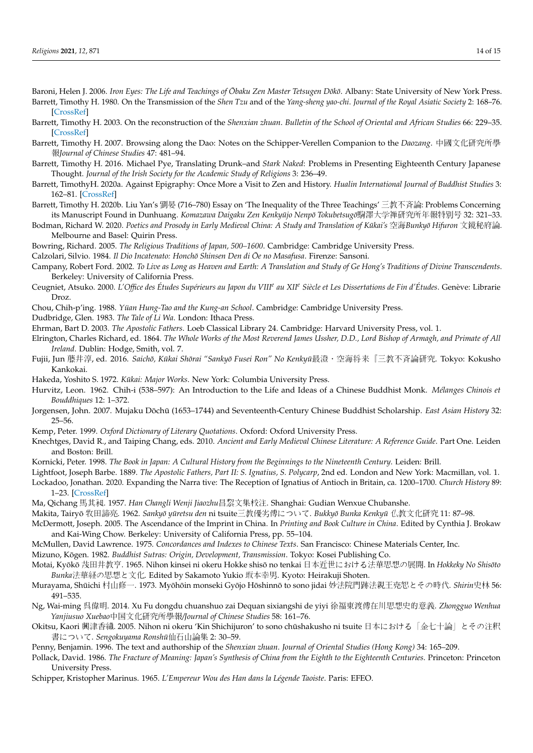<span id="page-13-4"></span>Baroni, Helen J. 2006. Iron Eyes: The Life and Teachings of Obaku Zen Master Tetsugen Dōkō. Albany: State University of New York Press.

<span id="page-13-16"></span>Barrett, Timothy H. 1980. On the Transmission of the *Shen Tzu* and of the *Yang-sheng yao-chi*. *Journal of the Royal Asiatic Society* 2: 168–76. [\[CrossRef\]](http://doi.org/10.1017/S0035869X00136329)

<span id="page-13-29"></span>Barrett, Timothy H. 2003. On the reconstruction of the *Shenxian zhuan*. *Bulletin of the School of Oriental and African Studies* 66: 229–35. [\[CrossRef\]](http://doi.org/10.1017/S0041977X03000144)

- <span id="page-13-30"></span>Barrett, Timothy H. 2007. Browsing along the Dao: Notes on the Schipper-Verellen Companion to the *Daozang*. 中國文化研究所學 報*Journal of Chinese Studies* 47: 481–94.
- <span id="page-13-24"></span>Barrett, Timothy H. 2016. Michael Pye, Translating Drunk–and *Stark Naked*: Problems in Presenting Eighteenth Century Japanese Thought. *Journal of the Irish Society for the Academic Study of Religions* 3: 236–49.

<span id="page-13-6"></span>Barrett, TimothyH. 2020a. Against Epigraphy: Once More a Visit to Zen and History. *Hualin International Journal of Buddhist Studies* 3: 162–81. [\[CrossRef\]](http://doi.org/10.15239/hijbs.03.02.08)

- <span id="page-13-25"></span>Barrett, Timothy H. 2020b. Liu Yan's 劉晏 (716–780) Essay on 'The Inequality of the Three Teachings' 三教不斉論: Problems Concerning its Manuscript Found in Dunhuang. *Komazawa Daigaku Zen Kenkyujo Nenp ¯ o Tokubetsug ¯ o¯*駒澤大学禅研究所年報特別号 32: 321–33.
- <span id="page-13-12"></span>Bodman, Richard W. 2020. *Poetics and Prosody in Early Medieval China: A Study and Translation of Kukai's ¯* 空海*Bunkyo Hifuron ¯* 文鏡秘府論. Melbourne and Basel: Quirin Press.

<span id="page-13-1"></span>Bowring, Richard. 2005. *The Religious Traditions of Japan, 500–1600*. Cambridge: Cambridge University Press.

<span id="page-13-27"></span>Calzolari, Silvio. 1984. *Il Dio Incatenato: Honcho Shinsen Den di ¯ Oe no Masafusa ¯* . Firenze: Sansoni.

- <span id="page-13-17"></span>Campany, Robert Ford. 2002. *To Live as Long as Heaven and Earth: A Translation and Study of Ge Hong's Traditions of Divine Transcendents*. Berkeley: University of California Press.
- <span id="page-13-18"></span>Ceugniet, Atsuko. 2000. L'Office des Études Supérieurs au Japon du VIII<sup>e</sup> au XII<sup>e</sup> Siècle et Les Dissertations de Fin d'Études. Genève: Librarie Droz.

<span id="page-13-19"></span>Chou, Chih-p'ing. 1988. *Yüan Hung-Tao and the Kung-an School*. Cambridge: Cambridge University Press.

<span id="page-13-28"></span>Dudbridge, Glen. 1983. *The Tale of Li Wa*. London: Ithaca Press.

<span id="page-13-36"></span>Ehrman, Bart D. 2003. *The Apostolic Fathers*. Loeb Classical Library 24. Cambridge: Harvard University Press, vol. 1.

- <span id="page-13-33"></span>Elrington, Charles Richard, ed. 1864. *The Whole Works of the Most Reverend James Ussher, D.D., Lord Bishop of Armagh, and Primate of All Ireland*. Dublin: Hodge, Smith, vol. 7.
- <span id="page-13-14"></span>Fujii, Jun 藤井淳, ed. 2016. Saichō, Kūkai Shōrai "Sankyō Fusei Ron" No Kenkyū最澄·空海将来『三教不斉論研究. Tokyo: Kokusho Kankokai.

<span id="page-13-13"></span>Hakeda, Yoshito S. 1972. *Kūkai: Major Works*. New York: Columbia University Press.

- <span id="page-13-21"></span>Hurvitz, Leon. 1962. Chih-i (538–597): An Introduction to the Life and Ideas of a Chinese Buddhist Monk. *Mélanges Chinois et Bouddhiques* 12: 1–372.
- <span id="page-13-5"></span>Jorgensen, John. 2007. Mujaku Dōchū (1653–1744) and Seventeenth-Century Chinese Buddhist Scholarship. East Asian History 32: 25–56.
- <span id="page-13-0"></span>Kemp, Peter. 1999. *Oxford Dictionary of Literary Quotations*. Oxford: Oxford University Press.
- <span id="page-13-31"></span>Knechtges, David R., and Taiping Chang, eds. 2010. *Ancient and Early Medieval Chinese Literature: A Reference Guide*. Part One. Leiden and Boston: Brill.
- <span id="page-13-3"></span>Kornicki, Peter. 1998. *The Book in Japan: A Cultural History from the Beginnings to the Nineteenth Century*. Leiden: Brill.

<span id="page-13-35"></span>Lightfoot, Joseph Barbe. 1889. *The Apostolic Fathers, Part II: S. Ignatius, S. Polycarp*, 2nd ed. London and New York: Macmillan, vol. 1.

<span id="page-13-34"></span>Lockadoo, Jonathan. 2020. Expanding the Narra tive: The Reception of Ignatius of Antioch in Britain, ca. 1200–1700. *Church History* 89: 1–23. [\[CrossRef\]](http://doi.org/10.1017/S0009640720000049)

<span id="page-13-22"></span>Ma, Qichang 馬其昶. 1957. *Han Changli Wenji Jiaozhu*昌黎文集校注. Shanghai: Gudian Wenxue Chubanshe.

<span id="page-13-15"></span>Makita, Tairyō 牧田諦亮. 1962. *Sankyō yūretsu den* ni tsuite三教優劣傳について. *Bukkyō Bunka Kenkyū 仏*教文化研究 11: 87–98.

<span id="page-13-2"></span>McDermott, Joseph. 2005. The Ascendance of the Imprint in China. In *Printing and Book Culture in China*. Edited by Cynthia J. Brokaw and Kai-Wing Chow. Berkeley: University of California Press, pp. 55–104.

<span id="page-13-9"></span>McMullen, David Lawrence. 1975. *Concordances and Indexes to Chinese Texts*. San Francisco: Chinese Materials Center, Inc.

<span id="page-13-23"></span>Mizuno, Kōgen. 1982. Buddhist Sutras: Origin, Development, Transmission. Tokyo: Kosei Publishing Co.

<span id="page-13-20"></span>Motai, Kyōkō 茂田井教亨. 1965. Nihon kinsei ni okeru Hokke shisō no tenkai 日本近世における法華思想の展開. In *Hokkeky No Shisōto Bunka*法華経の思想と文化. Edited by Sakamoto Yukio 坂本幸男. Kyoto: Heirakuji Shoten.

<span id="page-13-10"></span>Murayama, Shūichi 村山修一. 1973. Myōhōin monseki Gyōjo Hōshinnō to sono jidai 妙法院門跡法親王尭恕とその時代. *Shirin*史林 56: 491–535.

- <span id="page-13-7"></span>Ng, Wai-ming 呉偉明. 2014. Xu Fu dongdu chuanshuo zai Dequan sixiangshi de yiyi 徐福東渡傳在川思想史的意義. *Zhongguo Wenhua Yanjiusuo Xuebao*中国文化研究所學報*/Journal of Chinese Studies* 58: 161–76.
- <span id="page-13-11"></span>Okitsu, Kaori 興津香織. 2005. Nihon ni okeru 'Kin Shichijuron' to sono chūshakusho ni tsuite 日本における「金七十論」とその注釈 書について. Sengokuyama Ronshū仙石山論集 2: 30-59.

<span id="page-13-26"></span>Penny, Benjamin. 1996. The text and authorship of the *Shenxian zhuan*. *Journal of Oriental Studies (Hong Kong)* 34: 165–209.

<span id="page-13-8"></span>Pollack, David. 1986. *The Fracture of Meaning: Japan's Synthesis of China from the Eighth to the Eighteenth Centuries*. Princeton: Princeton University Press.

<span id="page-13-32"></span>Schipper, Kristopher Marinus. 1965. *L'Empereur Wou des Han dans la Légende Taoiste*. Paris: EFEO.